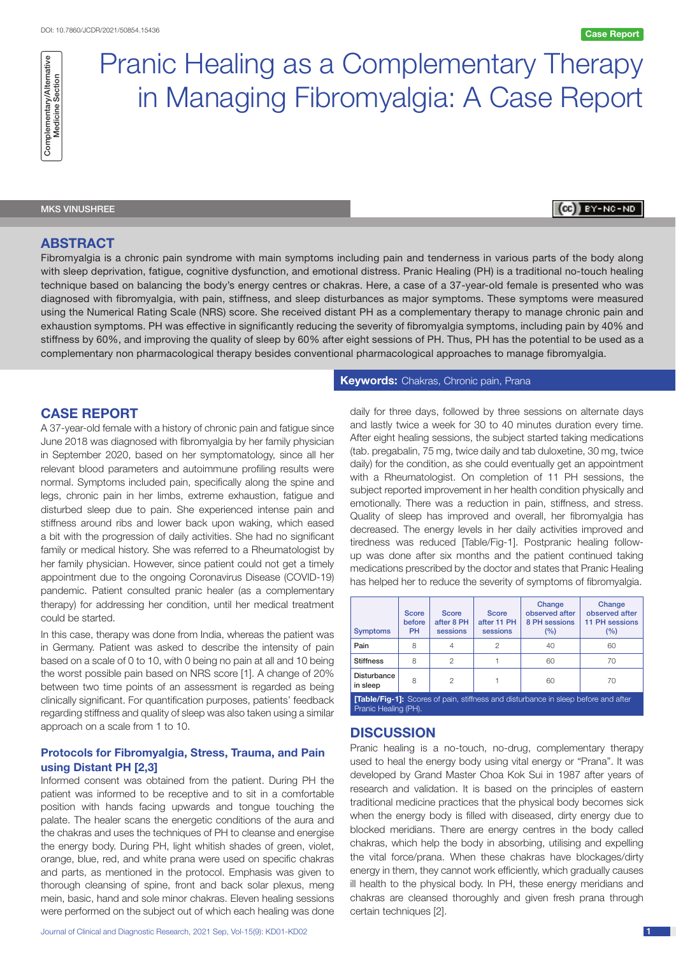**Ce BY-NC-ND** 



# Pranic Healing as a Complementary Therapy in Managing Fibromyalgia: A Case Report

# MKS VINUSHREE

# **ABSTRACT**

Fibromyalgia is a chronic pain syndrome with main symptoms including pain and tenderness in various parts of the body along with sleep deprivation, fatigue, cognitive dysfunction, and emotional distress. Pranic Healing (PH) is a traditional no-touch healing technique based on balancing the body's energy centres or chakras. Here, a case of a 37-year-old female is presented who was diagnosed with fibromyalgia, with pain, stiffness, and sleep disturbances as major symptoms. These symptoms were measured using the Numerical Rating Scale (NRS) score. She received distant PH as a complementary therapy to manage chronic pain and exhaustion symptoms. PH was effective in significantly reducing the severity of fibromyalgia symptoms, including pain by 40% and stiffness by 60%, and improving the quality of sleep by 60% after eight sessions of PH. Thus, PH has the potential to be used as a complementary non pharmacological therapy besides conventional pharmacological approaches to manage fibromyalgia.

# **CASE REPORT**

A 37-year-old female with a history of chronic pain and fatigue since June 2018 was diagnosed with fibromyalgia by her family physician in September 2020, based on her symptomatology, since all her relevant blood parameters and autoimmune profiling results were normal. Symptoms included pain, specifically along the spine and legs, chronic pain in her limbs, extreme exhaustion, fatigue and disturbed sleep due to pain. She experienced intense pain and stiffness around ribs and lower back upon waking, which eased a bit with the progression of daily activities. She had no significant family or medical history. She was referred to a Rheumatologist by her family physician. However, since patient could not get a timely appointment due to the ongoing Coronavirus Disease (COVID-19) pandemic. Patient consulted pranic healer (as a complementary therapy) for addressing her condition, until her medical treatment could be started.

In this case, therapy was done from India, whereas the patient was in Germany. Patient was asked to describe the intensity of pain based on a scale of 0 to 10, with 0 being no pain at all and 10 being the worst possible pain based on NRS score [1]. A change of 20% between two time points of an assessment is regarded as being clinically significant. For quantification purposes, patients' feedback regarding stiffness and quality of sleep was also taken using a similar approach on a scale from 1 to 10.

## **Protocols for Fibromyalgia, Stress, Trauma, and Pain using Distant PH [2,3]**

Informed consent was obtained from the patient. During PH the patient was informed to be receptive and to sit in a comfortable position with hands facing upwards and tongue touching the palate. The healer scans the energetic conditions of the aura and the chakras and uses the techniques of PH to cleanse and energise the energy body. During PH, light whitish shades of green, violet, orange, blue, red, and white prana were used on specific chakras and parts, as mentioned in the protocol. Emphasis was given to thorough cleansing of spine, front and back solar plexus, meng mein, basic, hand and sole minor chakras. Eleven healing sessions were performed on the subject out of which each healing was done

### **Keywords:** Chakras, Chronic pain, Prana

daily for three days, followed by three sessions on alternate days and lastly twice a week for 30 to 40 minutes duration every time. After eight healing sessions, the subject started taking medications (tab. pregabalin, 75 mg, twice daily and tab duloxetine, 30 mg, twice daily) for the condition, as she could eventually get an appointment with a Rheumatologist. On completion of 11 PH sessions, the subject reported improvement in her health condition physically and emotionally. There was a reduction in pain, stiffness, and stress. Quality of sleep has improved and overall, her fibromyalgia has decreased. The energy levels in her daily activities improved and tiredness was reduced [Table/Fig-1]. Postpranic healing followup was done after six months and the patient continued taking medications prescribed by the doctor and states that Pranic Healing has helped her to reduce the severity of symptoms of fibromyalgia.

| <b>Symptoms</b>                                                                           | <b>Score</b><br>before<br><b>PH</b> | <b>Score</b><br>after 8 PH<br>sessions | <b>Score</b><br>after 11 PH<br>sessions | Change<br>observed after<br>8 PH sessions<br>(%) | Change<br>observed after<br><b>11 PH sessions</b><br>(%) |
|-------------------------------------------------------------------------------------------|-------------------------------------|----------------------------------------|-----------------------------------------|--------------------------------------------------|----------------------------------------------------------|
| Pain                                                                                      | 8                                   | 4                                      | $\mathcal{P}$                           | 40                                               | 60                                                       |
| <b>Stiffness</b>                                                                          | 8                                   | $\mathfrak{p}$                         |                                         | 60                                               | 70                                                       |
| <b>Disturbance</b><br>in sleep                                                            | 8                                   | 2                                      |                                         | 60                                               | 70                                                       |
| <b>[Table/Fig-1]:</b> Scores of pain, stiffness and disturbance in sleep before and after |                                     |                                        |                                         |                                                  |                                                          |

Pranic Healing (PH).

## **DISCUSSION**

Pranic healing is a no-touch, no-drug, complementary therapy used to heal the energy body using vital energy or "Prana". It was developed by Grand Master Choa Kok Sui in 1987 after years of research and validation. It is based on the principles of eastern traditional medicine practices that the physical body becomes sick when the energy body is filled with diseased, dirty energy due to blocked meridians. There are energy centres in the body called chakras, which help the body in absorbing, utilising and expelling the vital force/prana. When these chakras have blockages/dirty energy in them, they cannot work efficiently, which gradually causes ill health to the physical body. In PH, these energy meridians and chakras are cleansed thoroughly and given fresh prana through certain techniques [2].